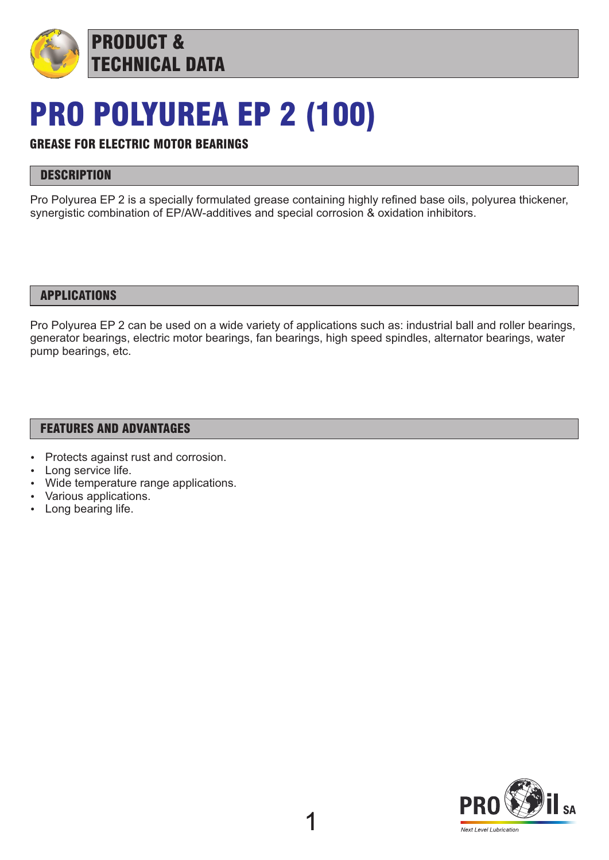

# PRO POLYUREA EP 2 (100)

# GREASE FOR ELECTRIC MOTOR BEARINGS

# **DESCRIPTION**

Pro Polyurea EP 2 is a specially formulated grease containing highly refined base oils, polyurea thickener, synergistic combination of EP/AW-additives and special corrosion & oxidation inhibitors.

### APPLICATIONS

Pro Polyurea EP 2 can be used on a wide variety of applications such as: industrial ball and roller bearings, generator bearings, electric motor bearings, fan bearings, high speed spindles, alternator bearings, water pump bearings, etc.

# FEATURES AND ADVANTAGES

- Protects against rust and corrosion.
- Long service life.
- Wide temperature range applications.
- Various applications.
- Long bearing life.